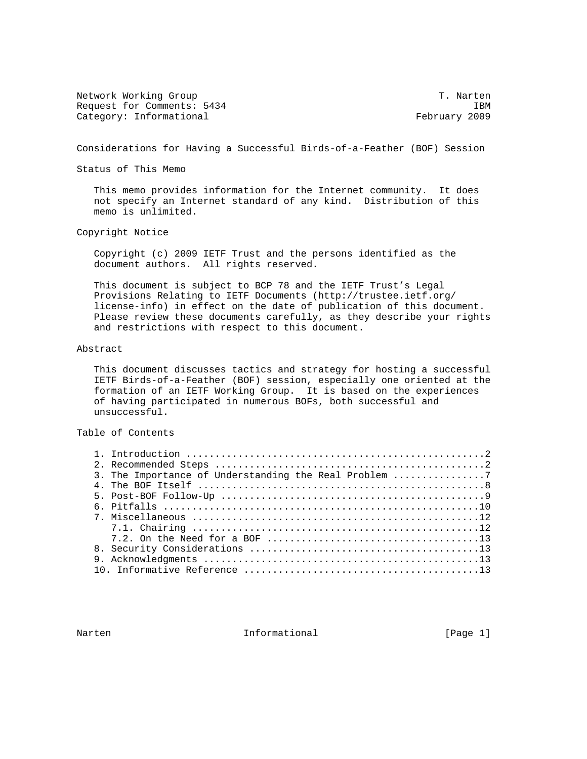Network Working Group T. Narten Request for Comments: 5434 IBM Category: Informational example of the control of the February 2009

Considerations for Having a Successful Birds-of-a-Feather (BOF) Session

Status of This Memo

 This memo provides information for the Internet community. It does not specify an Internet standard of any kind. Distribution of this memo is unlimited.

Copyright Notice

 Copyright (c) 2009 IETF Trust and the persons identified as the document authors. All rights reserved.

 This document is subject to BCP 78 and the IETF Trust's Legal Provisions Relating to IETF Documents (http://trustee.ietf.org/ license-info) in effect on the date of publication of this document. Please review these documents carefully, as they describe your rights and restrictions with respect to this document.

## Abstract

 This document discusses tactics and strategy for hosting a successful IETF Birds-of-a-Feather (BOF) session, especially one oriented at the formation of an IETF Working Group. It is based on the experiences of having participated in numerous BOFs, both successful and unsuccessful.

# Table of Contents

| 3. The Importance of Understanding the Real Problem 7 |  |
|-------------------------------------------------------|--|
|                                                       |  |
|                                                       |  |
|                                                       |  |
|                                                       |  |
|                                                       |  |
|                                                       |  |
|                                                       |  |
|                                                       |  |
|                                                       |  |

Narten 11 - Informational 1999 (Page 1)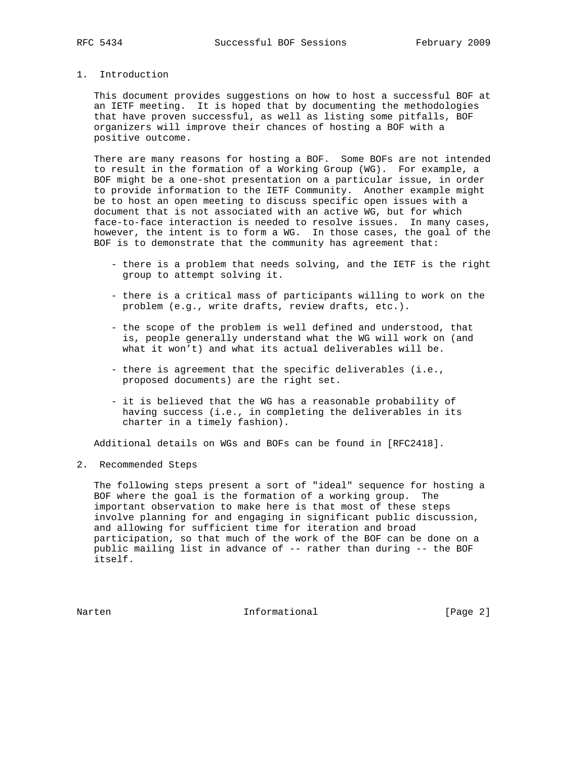# 1. Introduction

 This document provides suggestions on how to host a successful BOF at an IETF meeting. It is hoped that by documenting the methodologies that have proven successful, as well as listing some pitfalls, BOF organizers will improve their chances of hosting a BOF with a positive outcome.

 There are many reasons for hosting a BOF. Some BOFs are not intended to result in the formation of a Working Group (WG). For example, a BOF might be a one-shot presentation on a particular issue, in order to provide information to the IETF Community. Another example might be to host an open meeting to discuss specific open issues with a document that is not associated with an active WG, but for which face-to-face interaction is needed to resolve issues. In many cases, however, the intent is to form a WG. In those cases, the goal of the BOF is to demonstrate that the community has agreement that:

- there is a problem that needs solving, and the IETF is the right group to attempt solving it.
- there is a critical mass of participants willing to work on the problem (e.g., write drafts, review drafts, etc.).
- the scope of the problem is well defined and understood, that is, people generally understand what the WG will work on (and what it won't) and what its actual deliverables will be.
- there is agreement that the specific deliverables (i.e., proposed documents) are the right set.
- it is believed that the WG has a reasonable probability of having success (i.e., in completing the deliverables in its charter in a timely fashion).

Additional details on WGs and BOFs can be found in [RFC2418].

2. Recommended Steps

 The following steps present a sort of "ideal" sequence for hosting a BOF where the goal is the formation of a working group. The important observation to make here is that most of these steps involve planning for and engaging in significant public discussion, and allowing for sufficient time for iteration and broad participation, so that much of the work of the BOF can be done on a public mailing list in advance of -- rather than during -- the BOF itself.

Narten 10 Informational 1996 [Page 2]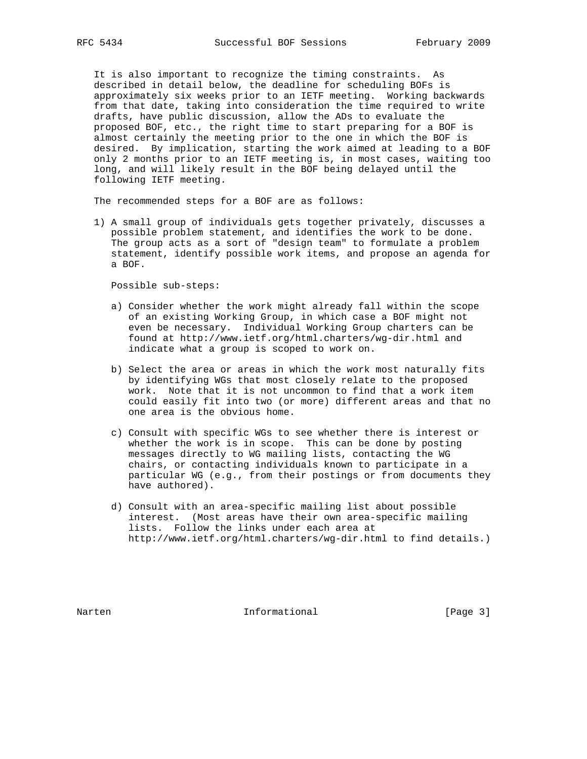It is also important to recognize the timing constraints. As described in detail below, the deadline for scheduling BOFs is approximately six weeks prior to an IETF meeting. Working backwards from that date, taking into consideration the time required to write drafts, have public discussion, allow the ADs to evaluate the proposed BOF, etc., the right time to start preparing for a BOF is almost certainly the meeting prior to the one in which the BOF is desired. By implication, starting the work aimed at leading to a BOF only 2 months prior to an IETF meeting is, in most cases, waiting too long, and will likely result in the BOF being delayed until the following IETF meeting.

The recommended steps for a BOF are as follows:

 1) A small group of individuals gets together privately, discusses a possible problem statement, and identifies the work to be done. The group acts as a sort of "design team" to formulate a problem statement, identify possible work items, and propose an agenda for a BOF.

Possible sub-steps:

- a) Consider whether the work might already fall within the scope of an existing Working Group, in which case a BOF might not even be necessary. Individual Working Group charters can be found at http://www.ietf.org/html.charters/wg-dir.html and indicate what a group is scoped to work on.
- b) Select the area or areas in which the work most naturally fits by identifying WGs that most closely relate to the proposed work. Note that it is not uncommon to find that a work item could easily fit into two (or more) different areas and that no one area is the obvious home.
- c) Consult with specific WGs to see whether there is interest or whether the work is in scope. This can be done by posting messages directly to WG mailing lists, contacting the WG chairs, or contacting individuals known to participate in a particular WG (e.g., from their postings or from documents they have authored).
- d) Consult with an area-specific mailing list about possible interest. (Most areas have their own area-specific mailing lists. Follow the links under each area at http://www.ietf.org/html.charters/wg-dir.html to find details.)

Narten 10 Informational 1996 [Page 3]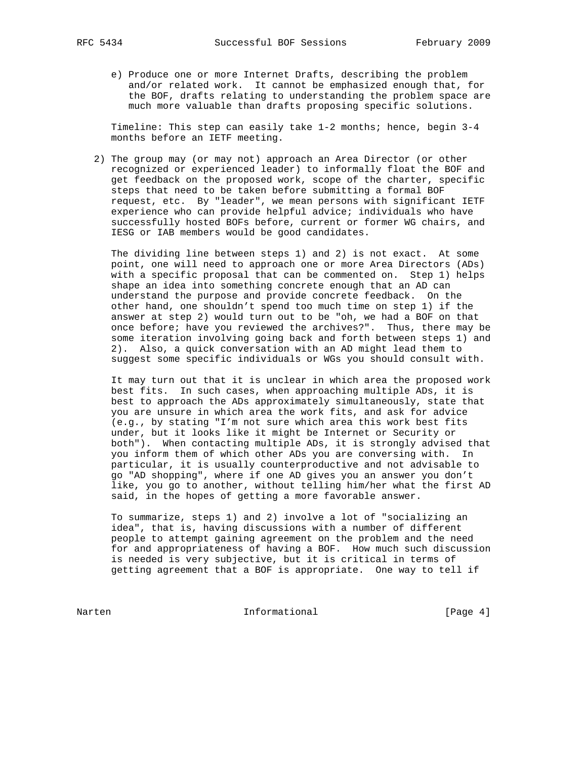e) Produce one or more Internet Drafts, describing the problem and/or related work. It cannot be emphasized enough that, for the BOF, drafts relating to understanding the problem space are much more valuable than drafts proposing specific solutions.

 Timeline: This step can easily take 1-2 months; hence, begin 3-4 months before an IETF meeting.

 2) The group may (or may not) approach an Area Director (or other recognized or experienced leader) to informally float the BOF and get feedback on the proposed work, scope of the charter, specific steps that need to be taken before submitting a formal BOF request, etc. By "leader", we mean persons with significant IETF experience who can provide helpful advice; individuals who have successfully hosted BOFs before, current or former WG chairs, and IESG or IAB members would be good candidates.

 The dividing line between steps 1) and 2) is not exact. At some point, one will need to approach one or more Area Directors (ADs) with a specific proposal that can be commented on. Step 1) helps shape an idea into something concrete enough that an AD can understand the purpose and provide concrete feedback. On the other hand, one shouldn't spend too much time on step 1) if the answer at step 2) would turn out to be "oh, we had a BOF on that once before; have you reviewed the archives?". Thus, there may be some iteration involving going back and forth between steps 1) and 2). Also, a quick conversation with an AD might lead them to suggest some specific individuals or WGs you should consult with.

 It may turn out that it is unclear in which area the proposed work best fits. In such cases, when approaching multiple ADs, it is best to approach the ADs approximately simultaneously, state that you are unsure in which area the work fits, and ask for advice (e.g., by stating "I'm not sure which area this work best fits under, but it looks like it might be Internet or Security or both"). When contacting multiple ADs, it is strongly advised that you inform them of which other ADs you are conversing with. In particular, it is usually counterproductive and not advisable to go "AD shopping", where if one AD gives you an answer you don't like, you go to another, without telling him/her what the first AD said, in the hopes of getting a more favorable answer.

 To summarize, steps 1) and 2) involve a lot of "socializing an idea", that is, having discussions with a number of different people to attempt gaining agreement on the problem and the need for and appropriateness of having a BOF. How much such discussion is needed is very subjective, but it is critical in terms of getting agreement that a BOF is appropriate. One way to tell if

Narten 1986 Informational 1986 [Page 4]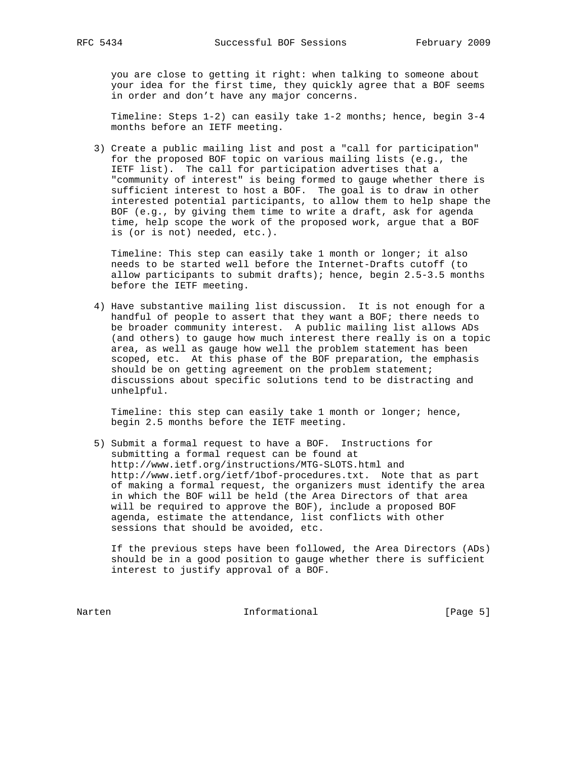you are close to getting it right: when talking to someone about your idea for the first time, they quickly agree that a BOF seems in order and don't have any major concerns.

 Timeline: Steps 1-2) can easily take 1-2 months; hence, begin 3-4 months before an IETF meeting.

 3) Create a public mailing list and post a "call for participation" for the proposed BOF topic on various mailing lists (e.g., the IETF list). The call for participation advertises that a "community of interest" is being formed to gauge whether there is sufficient interest to host a BOF. The goal is to draw in other interested potential participants, to allow them to help shape the BOF (e.g., by giving them time to write a draft, ask for agenda time, help scope the work of the proposed work, argue that a BOF is (or is not) needed, etc.).

 Timeline: This step can easily take 1 month or longer; it also needs to be started well before the Internet-Drafts cutoff (to allow participants to submit drafts); hence, begin 2.5-3.5 months before the IETF meeting.

 4) Have substantive mailing list discussion. It is not enough for a handful of people to assert that they want a BOF; there needs to be broader community interest. A public mailing list allows ADs (and others) to gauge how much interest there really is on a topic area, as well as gauge how well the problem statement has been scoped, etc. At this phase of the BOF preparation, the emphasis should be on getting agreement on the problem statement; discussions about specific solutions tend to be distracting and unhelpful.

 Timeline: this step can easily take 1 month or longer; hence, begin 2.5 months before the IETF meeting.

 5) Submit a formal request to have a BOF. Instructions for submitting a formal request can be found at http://www.ietf.org/instructions/MTG-SLOTS.html and http://www.ietf.org/ietf/1bof-procedures.txt. Note that as part of making a formal request, the organizers must identify the area in which the BOF will be held (the Area Directors of that area will be required to approve the BOF), include a proposed BOF agenda, estimate the attendance, list conflicts with other sessions that should be avoided, etc.

 If the previous steps have been followed, the Area Directors (ADs) should be in a good position to gauge whether there is sufficient interest to justify approval of a BOF.

Narten 1986 Informational 1986 [Page 5]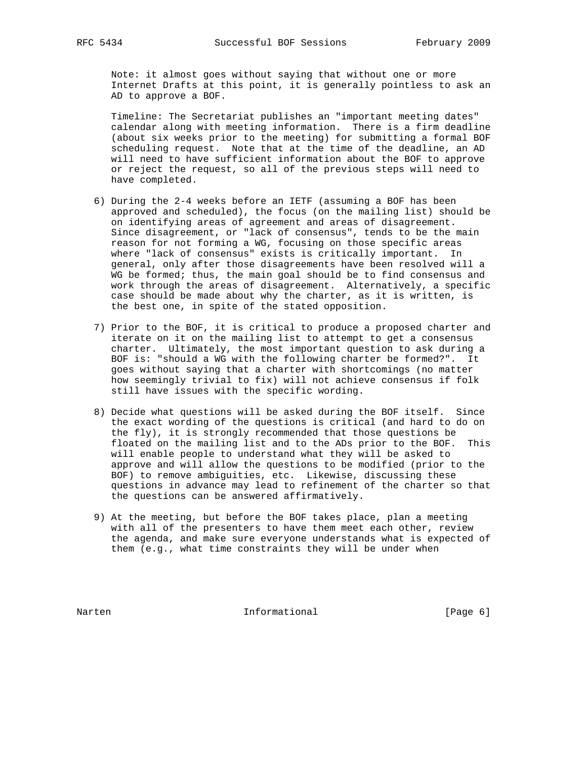Note: it almost goes without saying that without one or more Internet Drafts at this point, it is generally pointless to ask an AD to approve a BOF.

 Timeline: The Secretariat publishes an "important meeting dates" calendar along with meeting information. There is a firm deadline (about six weeks prior to the meeting) for submitting a formal BOF scheduling request. Note that at the time of the deadline, an AD will need to have sufficient information about the BOF to approve or reject the request, so all of the previous steps will need to have completed.

- 6) During the 2-4 weeks before an IETF (assuming a BOF has been approved and scheduled), the focus (on the mailing list) should be on identifying areas of agreement and areas of disagreement. Since disagreement, or "lack of consensus", tends to be the main reason for not forming a WG, focusing on those specific areas where "lack of consensus" exists is critically important. In general, only after those disagreements have been resolved will a WG be formed; thus, the main goal should be to find consensus and work through the areas of disagreement. Alternatively, a specific case should be made about why the charter, as it is written, is the best one, in spite of the stated opposition.
- 7) Prior to the BOF, it is critical to produce a proposed charter and iterate on it on the mailing list to attempt to get a consensus charter. Ultimately, the most important question to ask during a BOF is: "should a WG with the following charter be formed?". It goes without saying that a charter with shortcomings (no matter how seemingly trivial to fix) will not achieve consensus if folk still have issues with the specific wording.
- 8) Decide what questions will be asked during the BOF itself. Since the exact wording of the questions is critical (and hard to do on the fly), it is strongly recommended that those questions be floated on the mailing list and to the ADs prior to the BOF. This will enable people to understand what they will be asked to approve and will allow the questions to be modified (prior to the BOF) to remove ambiguities, etc. Likewise, discussing these questions in advance may lead to refinement of the charter so that the questions can be answered affirmatively.
- 9) At the meeting, but before the BOF takes place, plan a meeting with all of the presenters to have them meet each other, review the agenda, and make sure everyone understands what is expected of them (e.g., what time constraints they will be under when

Narten 10 Informational 1996 [Page 6]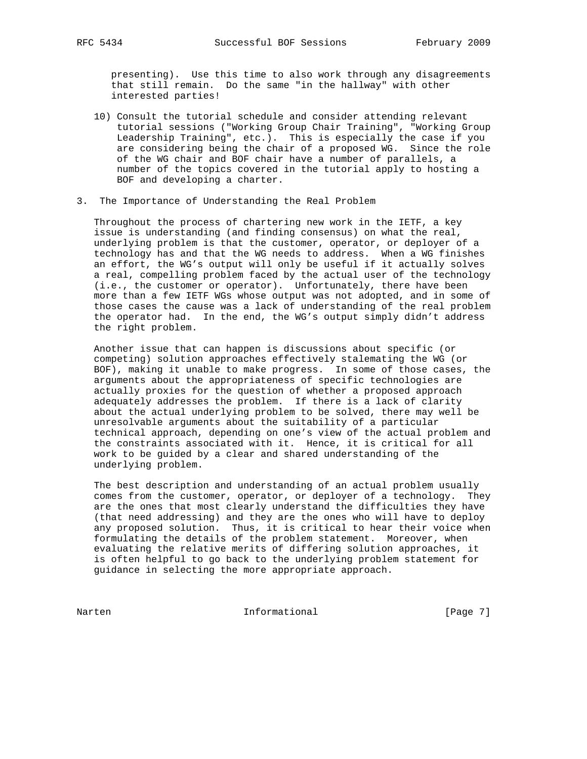presenting). Use this time to also work through any disagreements that still remain. Do the same "in the hallway" with other interested parties!

- 10) Consult the tutorial schedule and consider attending relevant tutorial sessions ("Working Group Chair Training", "Working Group Leadership Training", etc.). This is especially the case if you are considering being the chair of a proposed WG. Since the role of the WG chair and BOF chair have a number of parallels, a number of the topics covered in the tutorial apply to hosting a BOF and developing a charter.
- 3. The Importance of Understanding the Real Problem

 Throughout the process of chartering new work in the IETF, a key issue is understanding (and finding consensus) on what the real, underlying problem is that the customer, operator, or deployer of a technology has and that the WG needs to address. When a WG finishes an effort, the WG's output will only be useful if it actually solves a real, compelling problem faced by the actual user of the technology (i.e., the customer or operator). Unfortunately, there have been more than a few IETF WGs whose output was not adopted, and in some of those cases the cause was a lack of understanding of the real problem the operator had. In the end, the WG's output simply didn't address the right problem.

 Another issue that can happen is discussions about specific (or competing) solution approaches effectively stalemating the WG (or BOF), making it unable to make progress. In some of those cases, the arguments about the appropriateness of specific technologies are actually proxies for the question of whether a proposed approach adequately addresses the problem. If there is a lack of clarity about the actual underlying problem to be solved, there may well be unresolvable arguments about the suitability of a particular technical approach, depending on one's view of the actual problem and the constraints associated with it. Hence, it is critical for all work to be guided by a clear and shared understanding of the underlying problem.

 The best description and understanding of an actual problem usually comes from the customer, operator, or deployer of a technology. They are the ones that most clearly understand the difficulties they have (that need addressing) and they are the ones who will have to deploy any proposed solution. Thus, it is critical to hear their voice when formulating the details of the problem statement. Moreover, when evaluating the relative merits of differing solution approaches, it is often helpful to go back to the underlying problem statement for guidance in selecting the more appropriate approach.

Narten 1986 Informational 1986 [Page 7]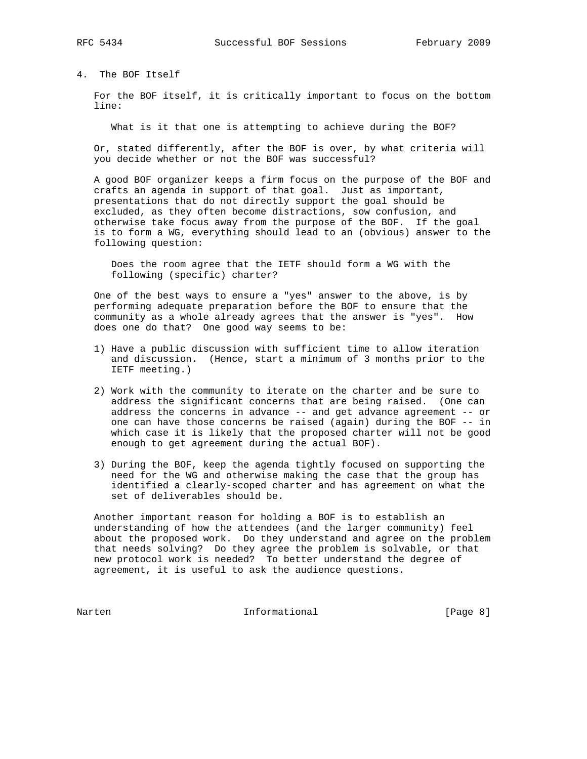4. The BOF Itself

 For the BOF itself, it is critically important to focus on the bottom line:

What is it that one is attempting to achieve during the BOF?

 Or, stated differently, after the BOF is over, by what criteria will you decide whether or not the BOF was successful?

 A good BOF organizer keeps a firm focus on the purpose of the BOF and crafts an agenda in support of that goal. Just as important, presentations that do not directly support the goal should be excluded, as they often become distractions, sow confusion, and otherwise take focus away from the purpose of the BOF. If the goal is to form a WG, everything should lead to an (obvious) answer to the following question:

 Does the room agree that the IETF should form a WG with the following (specific) charter?

 One of the best ways to ensure a "yes" answer to the above, is by performing adequate preparation before the BOF to ensure that the community as a whole already agrees that the answer is "yes". How does one do that? One good way seems to be:

- 1) Have a public discussion with sufficient time to allow iteration and discussion. (Hence, start a minimum of 3 months prior to the IETF meeting.)
- 2) Work with the community to iterate on the charter and be sure to address the significant concerns that are being raised. (One can address the concerns in advance -- and get advance agreement -- or one can have those concerns be raised (again) during the BOF -- in which case it is likely that the proposed charter will not be good enough to get agreement during the actual BOF).
- 3) During the BOF, keep the agenda tightly focused on supporting the need for the WG and otherwise making the case that the group has identified a clearly-scoped charter and has agreement on what the set of deliverables should be.

 Another important reason for holding a BOF is to establish an understanding of how the attendees (and the larger community) feel about the proposed work. Do they understand and agree on the problem that needs solving? Do they agree the problem is solvable, or that new protocol work is needed? To better understand the degree of agreement, it is useful to ask the audience questions.

Narten 1986 Informational 1986 [Page 8]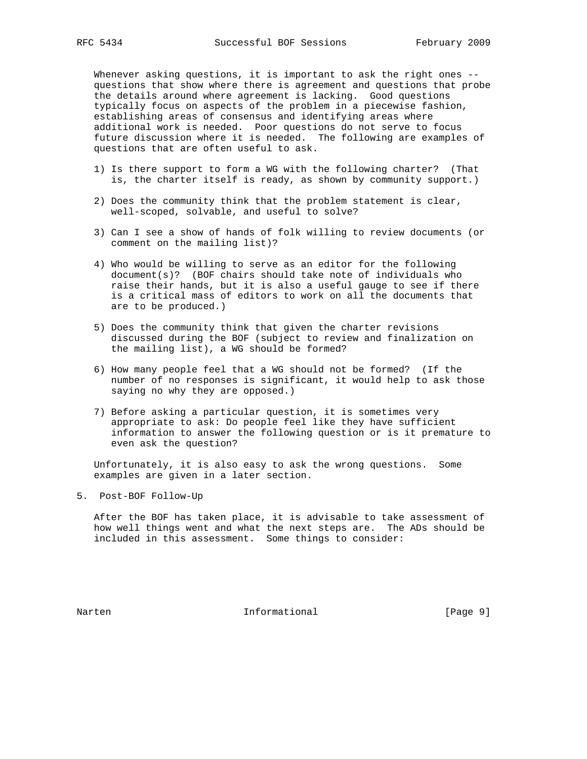Whenever asking questions, it is important to ask the right ones - questions that show where there is agreement and questions that probe the details around where agreement is lacking. Good questions typically focus on aspects of the problem in a piecewise fashion, establishing areas of consensus and identifying areas where additional work is needed. Poor questions do not serve to focus future discussion where it is needed. The following are examples of questions that are often useful to ask.

- 1) Is there support to form a WG with the following charter? (That is, the charter itself is ready, as shown by community support.)
- 2) Does the community think that the problem statement is clear, well-scoped, solvable, and useful to solve?
- 3) Can I see a show of hands of folk willing to review documents (or comment on the mailing list)?
- 4) Who would be willing to serve as an editor for the following document(s)? (BOF chairs should take note of individuals who raise their hands, but it is also a useful gauge to see if there is a critical mass of editors to work on all the documents that are to be produced.)
- 5) Does the community think that given the charter revisions discussed during the BOF (subject to review and finalization on the mailing list), a WG should be formed?
- 6) How many people feel that a WG should not be formed? (If the number of no responses is significant, it would help to ask those saying no why they are opposed.)
- 7) Before asking a particular question, it is sometimes very appropriate to ask: Do people feel like they have sufficient information to answer the following question or is it premature to even ask the question?

 Unfortunately, it is also easy to ask the wrong questions. Some examples are given in a later section.

5. Post-BOF Follow-Up

 After the BOF has taken place, it is advisable to take assessment of how well things went and what the next steps are. The ADs should be included in this assessment. Some things to consider:

Narten 10 Informational 1999 [Page 9]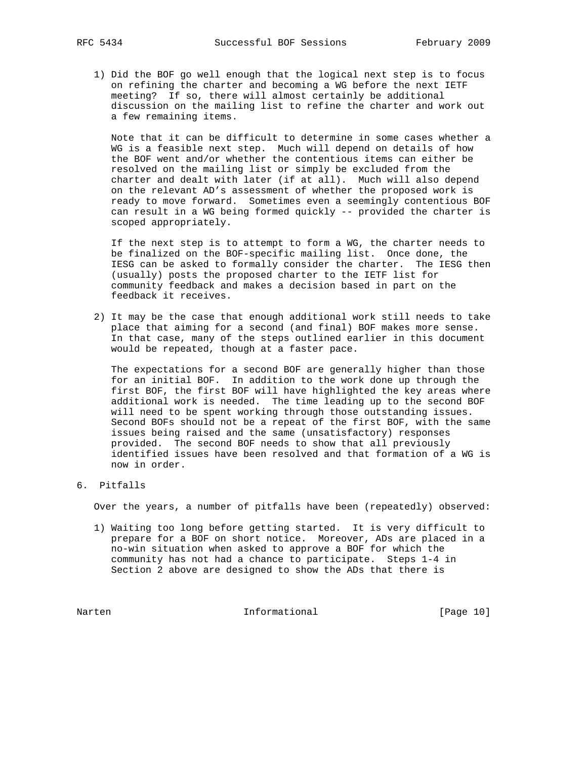1) Did the BOF go well enough that the logical next step is to focus on refining the charter and becoming a WG before the next IETF meeting? If so, there will almost certainly be additional discussion on the mailing list to refine the charter and work out a few remaining items.

 Note that it can be difficult to determine in some cases whether a WG is a feasible next step. Much will depend on details of how the BOF went and/or whether the contentious items can either be resolved on the mailing list or simply be excluded from the charter and dealt with later (if at all). Much will also depend on the relevant AD's assessment of whether the proposed work is ready to move forward. Sometimes even a seemingly contentious BOF can result in a WG being formed quickly -- provided the charter is scoped appropriately.

 If the next step is to attempt to form a WG, the charter needs to be finalized on the BOF-specific mailing list. Once done, the IESG can be asked to formally consider the charter. The IESG then (usually) posts the proposed charter to the IETF list for community feedback and makes a decision based in part on the feedback it receives.

 2) It may be the case that enough additional work still needs to take place that aiming for a second (and final) BOF makes more sense. In that case, many of the steps outlined earlier in this document would be repeated, though at a faster pace.

 The expectations for a second BOF are generally higher than those for an initial BOF. In addition to the work done up through the first BOF, the first BOF will have highlighted the key areas where additional work is needed. The time leading up to the second BOF will need to be spent working through those outstanding issues. Second BOFs should not be a repeat of the first BOF, with the same issues being raised and the same (unsatisfactory) responses provided. The second BOF needs to show that all previously identified issues have been resolved and that formation of a WG is now in order.

6. Pitfalls

Over the years, a number of pitfalls have been (repeatedly) observed:

 1) Waiting too long before getting started. It is very difficult to prepare for a BOF on short notice. Moreover, ADs are placed in a no-win situation when asked to approve a BOF for which the community has not had a chance to participate. Steps 1-4 in Section 2 above are designed to show the ADs that there is

Narten 101 Informational [Page 10]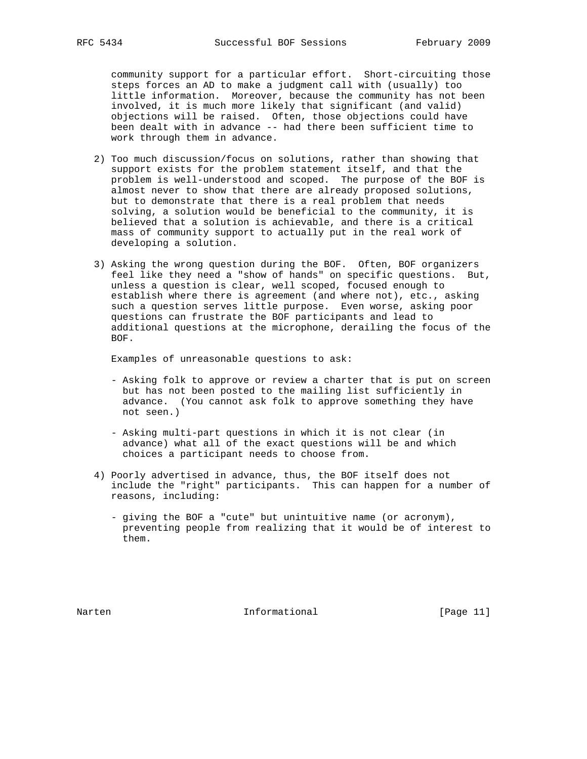community support for a particular effort. Short-circuiting those steps forces an AD to make a judgment call with (usually) too little information. Moreover, because the community has not been involved, it is much more likely that significant (and valid) objections will be raised. Often, those objections could have been dealt with in advance -- had there been sufficient time to work through them in advance.

- 2) Too much discussion/focus on solutions, rather than showing that support exists for the problem statement itself, and that the problem is well-understood and scoped. The purpose of the BOF is almost never to show that there are already proposed solutions, but to demonstrate that there is a real problem that needs solving, a solution would be beneficial to the community, it is believed that a solution is achievable, and there is a critical mass of community support to actually put in the real work of developing a solution.
- 3) Asking the wrong question during the BOF. Often, BOF organizers feel like they need a "show of hands" on specific questions. But, unless a question is clear, well scoped, focused enough to establish where there is agreement (and where not), etc., asking such a question serves little purpose. Even worse, asking poor questions can frustrate the BOF participants and lead to additional questions at the microphone, derailing the focus of the BOF.

Examples of unreasonable questions to ask:

- Asking folk to approve or review a charter that is put on screen but has not been posted to the mailing list sufficiently in advance. (You cannot ask folk to approve something they have not seen.)
- Asking multi-part questions in which it is not clear (in advance) what all of the exact questions will be and which choices a participant needs to choose from.
- 4) Poorly advertised in advance, thus, the BOF itself does not include the "right" participants. This can happen for a number of reasons, including:
	- giving the BOF a "cute" but unintuitive name (or acronym), preventing people from realizing that it would be of interest to them.

Narten 10 Informational [Page 11]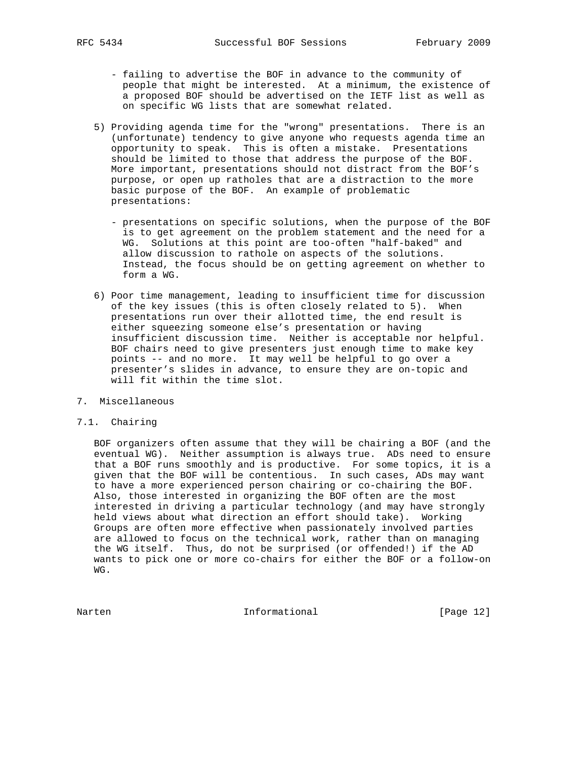- failing to advertise the BOF in advance to the community of people that might be interested. At a minimum, the existence of a proposed BOF should be advertised on the IETF list as well as on specific WG lists that are somewhat related.
- 5) Providing agenda time for the "wrong" presentations. There is an (unfortunate) tendency to give anyone who requests agenda time an opportunity to speak. This is often a mistake. Presentations should be limited to those that address the purpose of the BOF. More important, presentations should not distract from the BOF's purpose, or open up ratholes that are a distraction to the more basic purpose of the BOF. An example of problematic presentations:
	- presentations on specific solutions, when the purpose of the BOF is to get agreement on the problem statement and the need for a WG. Solutions at this point are too-often "half-baked" and allow discussion to rathole on aspects of the solutions. Instead, the focus should be on getting agreement on whether to form a WG.
- 6) Poor time management, leading to insufficient time for discussion of the key issues (this is often closely related to 5). When presentations run over their allotted time, the end result is either squeezing someone else's presentation or having insufficient discussion time. Neither is acceptable nor helpful. BOF chairs need to give presenters just enough time to make key points -- and no more. It may well be helpful to go over a presenter's slides in advance, to ensure they are on-topic and will fit within the time slot.
- 7. Miscellaneous

## 7.1. Chairing

 BOF organizers often assume that they will be chairing a BOF (and the eventual WG). Neither assumption is always true. ADs need to ensure that a BOF runs smoothly and is productive. For some topics, it is a given that the BOF will be contentious. In such cases, ADs may want to have a more experienced person chairing or co-chairing the BOF. Also, those interested in organizing the BOF often are the most interested in driving a particular technology (and may have strongly held views about what direction an effort should take). Working Groups are often more effective when passionately involved parties are allowed to focus on the technical work, rather than on managing the WG itself. Thus, do not be surprised (or offended!) if the AD wants to pick one or more co-chairs for either the BOF or a follow-on WG.

Narten 1986 Informational 1986 [Page 12]